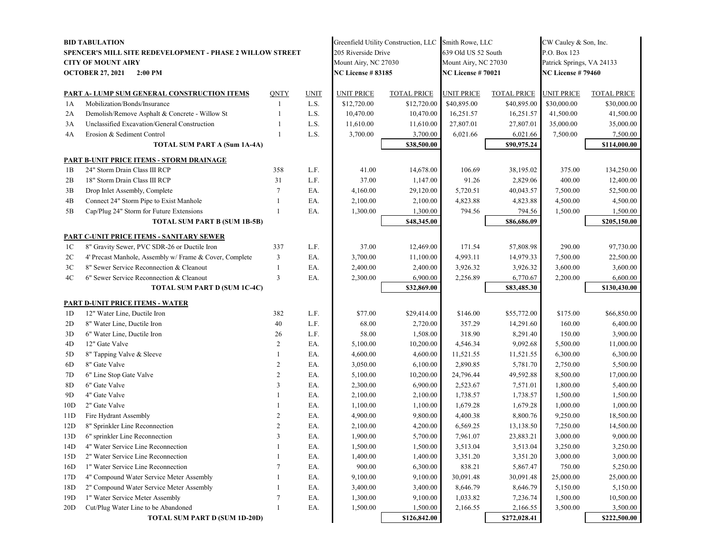| <b>BID TABULATION</b>                                            |                                                         |                |                          |                      | Greenfield Utility Construction, LLC Smith Rowe, LLC |                      |                          | CW Cauley & Son, Inc.     |                    |
|------------------------------------------------------------------|---------------------------------------------------------|----------------|--------------------------|----------------------|------------------------------------------------------|----------------------|--------------------------|---------------------------|--------------------|
| <b>SPENCER'S MILL SITE REDEVELOPMENT - PHASE 2 WILLOW STREET</b> |                                                         |                |                          | 205 Riverside Drive  |                                                      | 639 Old US 52 South  |                          | P.O. Box 123              |                    |
| <b>CITY OF MOUNT AIRY</b>                                        |                                                         |                |                          | Mount Airy, NC 27030 |                                                      | Mount Airy, NC 27030 |                          | Patrick Springs, VA 24133 |                    |
| <b>OCTOBER 27, 2021</b><br>$2:00$ PM                             |                                                         |                | <b>NC License #83185</b> |                      | <b>NC License # 70021</b>                            |                      | <b>NC License #79460</b> |                           |                    |
|                                                                  |                                                         |                |                          |                      |                                                      |                      |                          |                           |                    |
|                                                                  | PART A- LUMP SUM GENERAL CONSTRUCTION ITEMS             | QNTY           | <b>UNIT</b>              | <b>UNIT PRICE</b>    | <b>TOTAL PRICE</b>                                   | <b>UNIT PRICE</b>    | <b>TOTAL PRICE</b>       | UNIT PRICE                | <b>TOTAL PRICE</b> |
| 1A                                                               | Mobilization/Bonds/Insurance                            | $\overline{1}$ | L.S.                     | \$12,720.00          | \$12,720.00                                          | \$40,895.00          | \$40,895.00              | \$30,000.00               | \$30,000.00        |
| 2A                                                               | Demolish/Remove Asphalt & Concrete - Willow St          |                | L.S.                     | 10,470.00            | 10,470.00                                            | 16,251.57            | 16,251.57                | 41,500.00                 | 41,500.00          |
| 3A                                                               | Unclassified Excavation/General Construction            | -1             | L.S.                     | 11,610.00            | 11,610.00                                            | 27,807.01            | 27,807.01                | 35,000.00                 | 35,000.00          |
| 4A                                                               | Erosion & Sediment Control                              | $\overline{1}$ | L.S.                     | 3,700.00             | 3,700.00                                             | 6,021.66             | 6,021.66<br>\$90,975.24  | 7,500.00                  | 7,500.00           |
|                                                                  | TOTAL SUM PART A (Sum 1A-4A)                            |                |                          |                      | \$38,500.00                                          |                      |                          |                           | \$114,000.00       |
|                                                                  | <b>PART B-UNIT PRICE ITEMS - STORM DRAINAGE</b>         |                |                          |                      |                                                      |                      |                          |                           |                    |
| 1B                                                               | 24" Storm Drain Class III RCP                           | 358            | L.F.                     | 41.00                | 14,678.00                                            | 106.69               | 38,195.02                | 375.00                    | 134,250.00         |
| 2B                                                               | 18" Storm Drain Class III RCP                           | 31             | L.F.                     | 37.00                | 1,147.00                                             | 91.26                | 2,829.06                 | 400.00                    | 12,400.00          |
| 3B                                                               | Drop Inlet Assembly, Complete                           | 7              | EA.                      | 4,160.00             | 29,120.00                                            | 5,720.51             | 40,043.57                | 7,500.00                  | 52,500.00          |
| 4B                                                               | Connect 24" Storm Pipe to Exist Manhole                 | 1              | EA.                      | 2,100.00             | 2,100.00                                             | 4,823.88             | 4,823.88                 | 4,500.00                  | 4,500.00           |
| 5B                                                               | Cap/Plug 24" Storm for Future Extensions                | 1              | EA.                      | 1,300.00             | 1,300.00                                             | 794.56               | 794.56                   | 1,500.00                  | 1,500.00           |
|                                                                  | <b>TOTAL SUM PART B (SUM 1B-5B)</b>                     |                |                          |                      | \$48,345.00                                          |                      | \$86,686.09              |                           | \$205,150.00       |
|                                                                  | <b>PART C-UNIT PRICE ITEMS - SANITARY SEWER</b>         |                |                          |                      |                                                      |                      |                          |                           |                    |
| 1C                                                               | 8" Gravity Sewer, PVC SDR-26 or Ductile Iron            | 337            | L.F.                     | 37.00                | 12,469.00                                            | 171.54               | 57,808.98                | 290.00                    | 97,730.00          |
| 2C                                                               | 4' Precast Manhole, Assembly w/ Frame & Cover, Complete | 3              | EA.                      | 3,700.00             | 11,100.00                                            | 4,993.11             | 14,979.33                | 7,500.00                  | 22,500.00          |
| 3 <sup>C</sup>                                                   | 8" Sewer Service Reconnection & Cleanout                | 1              | EA.                      | 2,400.00             | 2,400.00                                             | 3,926.32             | 3,926.32                 | 3,600.00                  | 3,600.00           |
| 4C                                                               | 6" Sewer Service Reconnection & Cleanout                | 3              | EA.                      | 2,300.00             | 6,900.00                                             | 2,256.89             | 6,770.67                 | 2,200.00                  | 6,600.00           |
|                                                                  | <b>TOTAL SUM PART D (SUM 1C-4C)</b>                     |                |                          |                      | \$32,869.00                                          |                      | \$83,485.30              |                           | \$130,430.00       |
|                                                                  | <b>PART D-UNIT PRICE ITEMS - WATER</b>                  |                |                          |                      |                                                      |                      |                          |                           |                    |
| 1D                                                               | 12" Water Line, Ductile Iron                            | 382            | L.F.                     | \$77.00              | \$29,414.00                                          | \$146.00             | \$55,772.00              | \$175.00                  | \$66,850.00        |
| 2D                                                               | 8" Water Line, Ductile Iron                             | 40             | L.F.                     | 68.00                | 2,720.00                                             | 357.29               | 14,291.60                | 160.00                    | 6,400.00           |
| 3D                                                               | 6" Water Line, Ductile Iron                             | 26             | L.F.                     | 58.00                | 1,508.00                                             | 318.90               | 8,291.40                 | 150.00                    | 3,900.00           |
| 4D                                                               | 12" Gate Valve                                          | $\overline{c}$ | EA.                      | 5,100.00             | 10,200.00                                            | 4,546.34             | 9,092.68                 | 5,500.00                  | 11,000.00          |
| 5D                                                               | 8" Tapping Valve & Sleeve                               | 1              | EA.                      | 4,600.00             | 4,600.00                                             | 11,521.55            | 11,521.55                | 6,300.00                  | 6,300.00           |
| 6D                                                               | 8" Gate Valve                                           | $\overline{c}$ | EA.                      | 3,050.00             | 6,100.00                                             | 2,890.85             | 5,781.70                 | 2,750.00                  | 5,500.00           |
| 7D                                                               | 6" Line Stop Gate Valve                                 | $\overline{c}$ | EA.                      | 5,100.00             | 10,200.00                                            | 24,796.44            | 49,592.88                | 8,500.00                  | 17,000.00          |
| 8D                                                               | 6" Gate Valve                                           | 3              | EA.                      | 2,300.00             | 6,900.00                                             | 2,523.67             | 7,571.01                 | 1,800.00                  | 5,400.00           |
| 9D                                                               | 4" Gate Valve                                           |                | EA.                      | 2,100.00             | 2,100.00                                             | 1,738.57             | 1,738.57                 | 1,500.00                  | 1,500.00           |
| 10D                                                              | 2" Gate Valve                                           |                | EA.                      | 1,100.00             | 1,100.00                                             | 1,679.28             | 1,679.28                 | 1,000.00                  | 1,000.00           |
| 11D                                                              | Fire Hydrant Assembly                                   | 2              | EA.                      | 4,900.00             | 9,800.00                                             | 4,400.38             | 8,800.76                 | 9,250.00                  | 18,500.00          |
| 12D                                                              | 8" Sprinkler Line Reconnection                          | $\overline{c}$ | EA.                      | 2,100.00             | 4,200.00                                             | 6,569.25             | 13,138.50                | 7,250.00                  | 14,500.00          |
| 13D                                                              | 6" sprinkler Line Reconnection                          | 3              | EA.                      | 1,900.00             | 5,700.00                                             | 7,961.07             | 23,883.21                | 3,000.00                  | 9,000.00           |
| 14D                                                              | 4" Water Service Line Reconnection                      | 1              | EA.                      | 1,500.00             | 1,500.00                                             | 3,513.04             | 3,513.04                 | 3,250.00                  | 3,250.00           |
| 15D                                                              | 2" Water Service Line Reconnection                      |                | EA.                      | 1,400.00             | 1,400.00                                             | 3,351.20             | 3,351.20                 | 3,000.00                  | 3,000.00           |
| 16D                                                              | 1" Water Service Line Reconnection                      | 7              | EA.                      | 900.00               | 6,300.00                                             | 838.21               | 5,867.47                 | 750.00                    | 5,250.00           |
| 17D                                                              | 4" Compound Water Service Meter Assembly                | 1              | EA.                      | 9,100.00             | 9,100.00                                             | 30,091.48            | 30,091.48                | 25,000.00                 | 25,000.00          |
| 18D                                                              | 2" Compound Water Service Meter Assembly                |                | EA.                      | 3,400.00             | 3,400.00                                             | 8,646.79             | 8,646.79                 | 5,150.00                  | 5,150.00           |
| 19D                                                              | 1" Water Service Meter Assembly                         | 7              | EA.                      | 1,300.00             | 9,100.00                                             | 1,033.82             | 7,236.74                 | 1,500.00                  | 10,500.00          |
| 20D                                                              | Cut/Plug Water Line to be Abandoned                     | 1              | EA.                      | 1,500.00             | 1,500.00                                             | 2,166.55             | 2,166.55                 | 3,500.00                  | 3,500.00           |
|                                                                  | <b>TOTAL SUM PART D (SUM 1D-20D)</b>                    |                |                          |                      | \$126,842.00                                         |                      | \$272,028.41             |                           | \$222,500.00       |